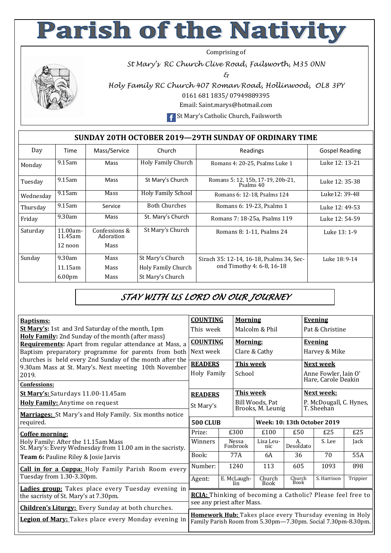## **Parish of the Nativity**

Comprising of

*St Mary's RC Church Clive Road, Failsworth, M35 0NN* 

*&* 



*Holy Family RC Church 407 Roman Road, Hollinwood, OL8 3PY*  0161 681 1835/ 07949889395

Email: Saint.marys@hotmail.com

**F** St Mary's Catholic Church, Failsworth

## **SUNDAY 20TH OCTOBER 2019—29TH SUNDAY OF ORDINARY TIME**

| Day       | Time                   | Mass/Service               | Church                    | Readings                                       | Gospel Reading |
|-----------|------------------------|----------------------------|---------------------------|------------------------------------------------|----------------|
| Monday    | $9.15$ am              | Mass                       | <b>Holy Family Church</b> | Romans 4: 20-25, Psalms Luke 1                 | Luke 12: 13-21 |
| Tuesday   | $9.15$ am              | Mass                       | St Mary's Church          | Romans 5: 12, 15b, 17-19, 20b-21,<br>Psalms 40 | Luke 12: 35-38 |
| Wednesday | $9.15$ am              | Mass                       | <b>Holy Family School</b> | Romans 6: 12-18, Psalms 124                    | Luke12: 39-48  |
| Thursday  | $9.15$ am              | Service                    | <b>Both Churches</b>      | Romans 6: 19-23, Psalms 1                      | Luke 12: 49-53 |
| Friday    | 9.30am                 | Mass                       | St. Mary's Church         | Romans 7: 18-25a, Psalms 119                   | Luke 12: 54-59 |
| Saturday  | $11.00am -$<br>11.45am | Confessions &<br>Adoration | St Mary's Church          | Romans 8: 1-11, Psalms 24                      | Luke 13: 1-9   |
|           | 12 noon                | Mass                       |                           |                                                |                |
| Sunday    | 9.30am                 | Mass                       | St Mary's Church          | Sirach 35: 12-14, 16-18, Psalms 34, Sec-       | Luke 18: 9-14  |
|           | $11.15$ am             | Mass                       | Holy Family Church        | ond Timothy 4: 6-8, 16-18                      |                |
|           | 6.00 <sub>pm</sub>     | Mass                       | St Mary's Church          |                                                |                |

*STAY WITH US LORD ON OUR JOURNEY* 

| <b>Baptisms:</b>                                                                                                | <b>COUNTING</b>                                                                                                          |                | <b>Morning</b>                       |                  |                       | <b>Evening</b>                              |                   |          |  |
|-----------------------------------------------------------------------------------------------------------------|--------------------------------------------------------------------------------------------------------------------------|----------------|--------------------------------------|------------------|-----------------------|---------------------------------------------|-------------------|----------|--|
| <b>St Mary's:</b> 1st and 3rd Saturday of the month, 1pm<br>Holy Family: 2nd Sunday of the month (after mass)   | This week                                                                                                                |                | Malcolm & Phil                       |                  |                       | Pat & Christine                             |                   |          |  |
| Requirements: Apart from regular attendance at Mass, a                                                          | <b>COUNTING</b>                                                                                                          |                | <b>Morning:</b>                      |                  |                       | <b>Evening</b>                              |                   |          |  |
| Baptism preparatory programme for parents from both<br>churches is held every 2nd Sunday of the month after the | Next week                                                                                                                |                | Clare & Cathy                        |                  |                       | Harvey & Mike                               |                   |          |  |
| 9.30am Mass at St. Mary's. Next meeting 10th November                                                           | <b>READERS</b>                                                                                                           |                | <b>This week</b>                     |                  |                       | Next week                                   |                   |          |  |
| 2019.                                                                                                           | Holy Family                                                                                                              |                | School                               |                  |                       | Anne Fowler, Jain O'<br>Hare, Carole Deakin |                   |          |  |
| Confessions:                                                                                                    |                                                                                                                          |                |                                      |                  |                       |                                             |                   |          |  |
| St Mary's: Saturdays 11.00-11.45am                                                                              |                                                                                                                          | <b>READERS</b> |                                      | <b>This week</b> |                       |                                             | <b>Next week:</b> |          |  |
| Holy Family: Anytime on request                                                                                 | St Mary's<br><b>500 CLUB</b>                                                                                             |                | Bill Woods, Pat<br>Brooks, M. Leunig |                  |                       | P. McDougall, C. Hynes,<br>T. Sheehan       |                   |          |  |
| Marriages: St Mary's and Holy Family. Six months notice                                                         |                                                                                                                          |                |                                      |                  |                       |                                             |                   |          |  |
| required.                                                                                                       |                                                                                                                          |                | Week: 10: 13th October 2019          |                  |                       |                                             |                   |          |  |
| Coffee morning:                                                                                                 | Prize:                                                                                                                   |                | £300<br>£100                         |                  | £50                   |                                             | £25               | £25      |  |
| Holy Family: After the 11.15am Mass<br>St. Mary's: Every Wednesday from 11.00 am in the sacristy.               | Winners                                                                                                                  |                | Nessa<br>Fosbrook                    | Lisa Leu-<br>nic | A.<br>Desoldato       |                                             | S. Lee            | Jack     |  |
| Team 6: Pauline Riley & Josie Jarvis                                                                            | Book:                                                                                                                    |                | 77A                                  | 6A               | 36                    |                                             | 70                | 55A      |  |
| <b>Call in for a Cuppa:</b> Holy Family Parish Room every                                                       | Number:                                                                                                                  | 1240           |                                      | 113              | 605                   |                                             | 1093              | 898      |  |
| Tuesday from 1.30-3.30pm.                                                                                       | Agent:                                                                                                                   |                | E. McLaugh-<br>lin.                  | Church<br>Book   | Church<br><b>Book</b> |                                             | S. Harrison       | Trippier |  |
| Ladies group: Takes place every Tuesday evening in<br>the sacristy of St. Mary's at 7.30pm.                     | RCIA: Thinking of becoming a Catholic? Please feel free to                                                               |                |                                      |                  |                       |                                             |                   |          |  |
| <b>Children's Liturgy:</b> Every Sunday at both churches.                                                       | see any priest after Mass.                                                                                               |                |                                      |                  |                       |                                             |                   |          |  |
| Legion of Mary: Takes place every Monday evening in                                                             | Homework Hub: Takes place every Thursday evening in Holy<br>Family Parish Room from 5.30pm-7.30pm. Social 7.30pm-8.30pm. |                |                                      |                  |                       |                                             |                   |          |  |